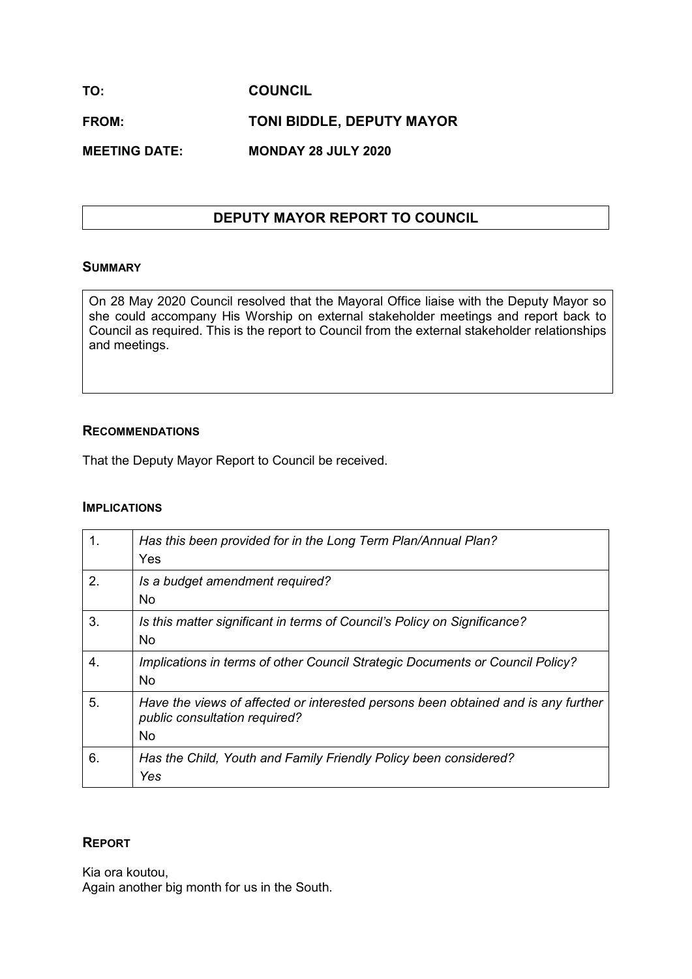**TO: COUNCIL FROM: TONI BIDDLE, DEPUTY MAYOR MEETING DATE: MONDAY 28 JULY 2020**

# **DEPUTY MAYOR REPORT TO COUNCIL**

### **SUMMARY**

On 28 May 2020 Council resolved that the Mayoral Office liaise with the Deputy Mayor so she could accompany His Worship on external stakeholder meetings and report back to Council as required. This is the report to Council from the external stakeholder relationships and meetings.

### **RECOMMENDATIONS**

That the Deputy Mayor Report to Council be received.

#### **IMPLICATIONS**

| 1. | Has this been provided for in the Long Term Plan/Annual Plan?<br>Yes                                                            |
|----|---------------------------------------------------------------------------------------------------------------------------------|
| 2. | Is a budget amendment required?<br><b>No</b>                                                                                    |
| 3. | Is this matter significant in terms of Council's Policy on Significance?<br><b>No</b>                                           |
| 4. | Implications in terms of other Council Strategic Documents or Council Policy?<br><b>No</b>                                      |
| 5. | Have the views of affected or interested persons been obtained and is any further<br>public consultation required?<br><b>No</b> |
| 6. | Has the Child, Youth and Family Friendly Policy been considered?<br>Yes                                                         |

# **REPORT**

Kia ora koutou, Again another big month for us in the South.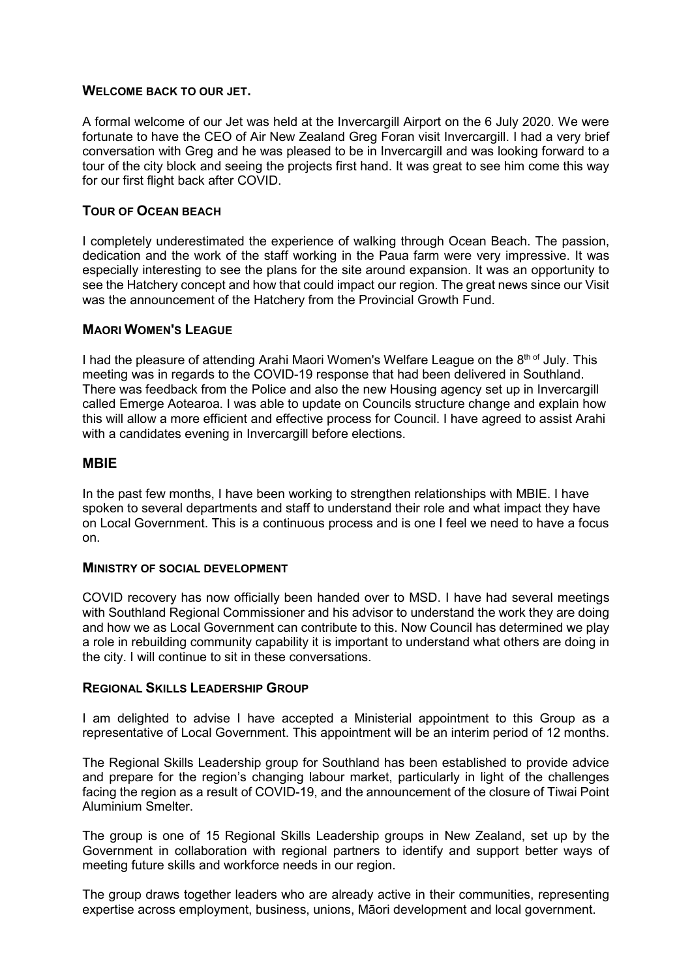### **WELCOME BACK TO OUR JET.**

A formal welcome of our Jet was held at the Invercargill Airport on the 6 July 2020. We were fortunate to have the CEO of Air New Zealand Greg Foran visit Invercargill. I had a very brief conversation with Greg and he was pleased to be in Invercargill and was looking forward to a tour of the city block and seeing the projects first hand. It was great to see him come this way for our first flight back after COVID.

### **TOUR OF OCEAN BEACH**

I completely underestimated the experience of walking through Ocean Beach. The passion, dedication and the work of the staff working in the Paua farm were very impressive. It was especially interesting to see the plans for the site around expansion. It was an opportunity to see the Hatchery concept and how that could impact our region. The great news since our Visit was the announcement of the Hatchery from the Provincial Growth Fund.

# **MAORI WOMEN'S LEAGUE**

I had the pleasure of attending Arahi Maori Women's Welfare League on the  $8<sup>th of</sup>$  July. This meeting was in regards to the COVID-19 response that had been delivered in Southland. There was feedback from the Police and also the new Housing agency set up in Invercargill called Emerge Aotearoa. I was able to update on Councils structure change and explain how this will allow a more efficient and effective process for Council. I have agreed to assist Arahi with a candidates evening in Invercargill before elections.

# **MBIE**

In the past few months, I have been working to strengthen relationships with MBIE. I have spoken to several departments and staff to understand their role and what impact they have on Local Government. This is a continuous process and is one I feel we need to have a focus on.

#### **MINISTRY OF SOCIAL DEVELOPMENT**

COVID recovery has now officially been handed over to MSD. I have had several meetings with Southland Regional Commissioner and his advisor to understand the work they are doing and how we as Local Government can contribute to this. Now Council has determined we play a role in rebuilding community capability it is important to understand what others are doing in the city. I will continue to sit in these conversations.

# **REGIONAL SKILLS LEADERSHIP GROUP**

I am delighted to advise I have accepted a Ministerial appointment to this Group as a representative of Local Government. This appointment will be an interim period of 12 months.

The Regional Skills Leadership group for Southland has been established to provide advice and prepare for the region's changing labour market, particularly in light of the challenges facing the region as a result of COVID-19, and the announcement of the closure of Tiwai Point Aluminium Smelter.

The group is one of 15 Regional Skills Leadership groups in New Zealand, set up by the Government in collaboration with regional partners to identify and support better ways of meeting future skills and workforce needs in our region.

The group draws together leaders who are already active in their communities, representing expertise across employment, business, unions, Māori development and local government.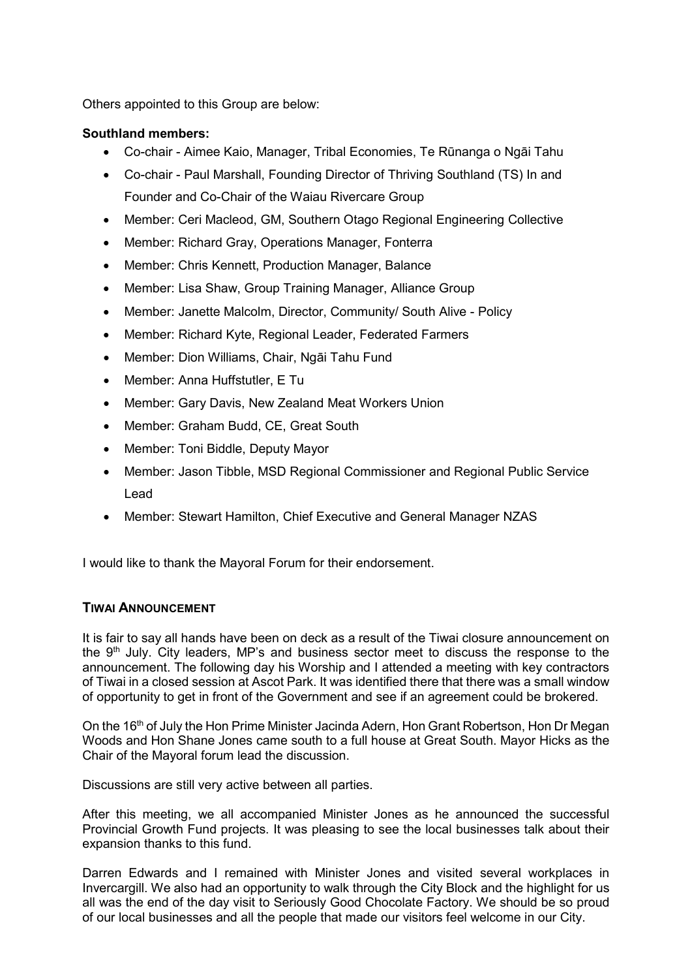Others appointed to this Group are below:

# **Southland members:**

- Co-chair Aimee Kaio, Manager, Tribal Economies, Te Rūnanga o Ngāi Tahu
- Co-chair Paul Marshall, Founding Director of Thriving Southland (TS) In and Founder and Co-Chair of the Waiau Rivercare Group
- Member: Ceri Macleod, GM, Southern Otago Regional Engineering Collective
- Member: Richard Gray, Operations Manager, Fonterra
- Member: Chris Kennett, Production Manager, Balance
- Member: Lisa Shaw, Group Training Manager, Alliance Group
- Member: Janette Malcolm, Director, Community/ South Alive Policy
- Member: Richard Kyte, Regional Leader, Federated Farmers
- Member: Dion Williams, Chair, Ngāi Tahu Fund
- Member: Anna Huffstutler, E Tu
- Member: Gary Davis, New Zealand Meat Workers Union
- Member: Graham Budd, CE, Great South
- Member: Toni Biddle, Deputy Mayor
- Member: Jason Tibble, MSD Regional Commissioner and Regional Public Service Lead
- Member: Stewart Hamilton, Chief Executive and General Manager NZAS

I would like to thank the Mayoral Forum for their endorsement.

# **TIWAI ANNOUNCEMENT**

It is fair to say all hands have been on deck as a result of the Tiwai closure announcement on the 9<sup>th</sup> July. City leaders, MP's and business sector meet to discuss the response to the announcement. The following day his Worship and I attended a meeting with key contractors of Tiwai in a closed session at Ascot Park. It was identified there that there was a small window of opportunity to get in front of the Government and see if an agreement could be brokered.

On the 16<sup>th</sup> of July the Hon Prime Minister Jacinda Adern, Hon Grant Robertson, Hon Dr Megan Woods and Hon Shane Jones came south to a full house at Great South. Mayor Hicks as the Chair of the Mayoral forum lead the discussion.

Discussions are still very active between all parties.

After this meeting, we all accompanied Minister Jones as he announced the successful Provincial Growth Fund projects. It was pleasing to see the local businesses talk about their expansion thanks to this fund.

Darren Edwards and I remained with Minister Jones and visited several workplaces in Invercargill. We also had an opportunity to walk through the City Block and the highlight for us all was the end of the day visit to Seriously Good Chocolate Factory. We should be so proud of our local businesses and all the people that made our visitors feel welcome in our City.